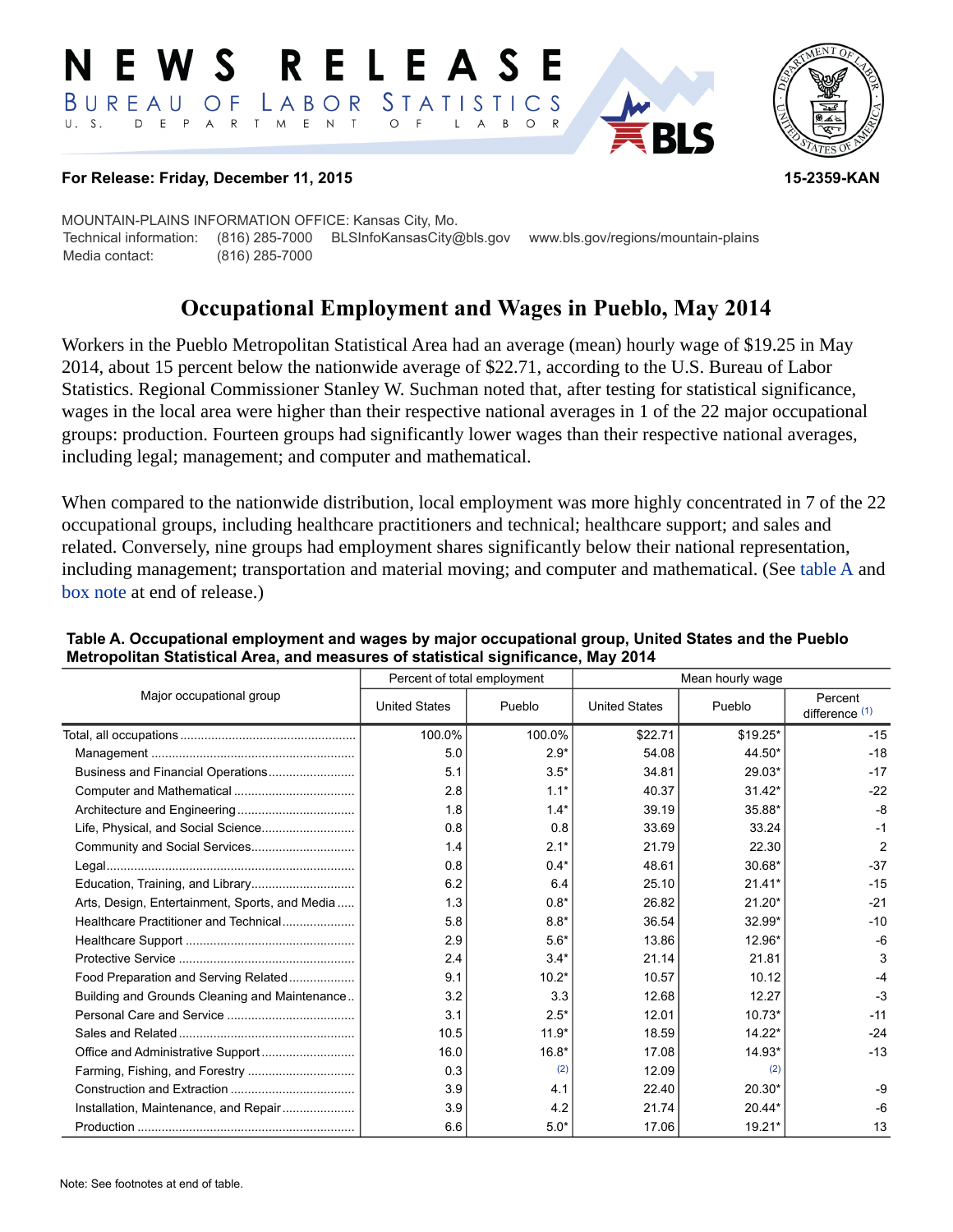#### RELEAS E W S LABOR STATISTICS BUREAU OF D E P A R T M E N T  $\circ$  $U. S.$  $\overline{F}$  $\mathsf{L}$  $\overline{A}$ B  $\circ$



#### **For Release: Friday, December 11, 2015 15-2359-KAN**

MOUNTAIN-PLAINS INFORMATION OFFICE: Kansas City, Mo. Technical information: (816) 285-7000 BLSInfoKansasCity@bls.gov www.bls.gov/regions/mountain-plains Media contact: (816) 285-7000

# **Occupational Employment and Wages in Pueblo, May 2014**

Workers in the Pueblo Metropolitan Statistical Area had an average (mean) hourly wage of \$19.25 in May 2014, about 15 percent below the nationwide average of \$22.71, according to the U.S. Bureau of Labor Statistics. Regional Commissioner Stanley W. Suchman noted that, after testing for statistical significance, wages in the local area were higher than their respective national averages in 1 of the 22 major occupational groups: production. Fourteen groups had significantly lower wages than their respective national averages, including legal; management; and computer and mathematical.

When compared to the nationwide distribution, local employment was more highly concentrated in 7 of the 22 occupational groups, including healthcare practitioners and technical; healthcare support; and sales and related. Conversely, nine groups had employment shares significantly below their national representation, including management; transportation and material moving; and computer and mathematical. (See table A and [box note](#page-1-0) at end of release.)

|                                                |                      | Percent of total employment | Mean hourly wage     |           |                             |  |
|------------------------------------------------|----------------------|-----------------------------|----------------------|-----------|-----------------------------|--|
| Major occupational group                       | <b>United States</b> | Pueblo                      | <b>United States</b> | Pueblo    | Percent<br>difference $(1)$ |  |
|                                                | 100.0%               | 100.0%                      | \$22.71              | $$19.25*$ | $-15$                       |  |
|                                                | 5.0                  | $2.9*$                      | 54.08                | 44.50*    | $-18$                       |  |
| Business and Financial Operations              | 5.1                  | $3.5*$                      | 34.81                | 29.03*    | $-17$                       |  |
|                                                | 2.8                  | $1.1*$                      | 40.37                | $31.42*$  | $-22$                       |  |
|                                                | 1.8                  | $1.4*$                      | 39.19                | 35.88*    | $-8$                        |  |
|                                                | 0.8                  | 0.8                         | 33.69                | 33.24     | $-1$                        |  |
|                                                | 1.4                  | $2.1*$                      | 21.79                | 22.30     | $\overline{2}$              |  |
|                                                | 0.8                  | $0.4*$                      | 48.61                | 30.68*    | $-37$                       |  |
| Education, Training, and Library               | 6.2                  | 6.4                         | 25.10                | $21.41*$  | $-15$                       |  |
| Arts, Design, Entertainment, Sports, and Media | 1.3                  | $0.8*$                      | 26.82                | $21.20*$  | $-21$                       |  |
| Healthcare Practitioner and Technical          | 5.8                  | $8.8*$                      | 36.54                | 32.99*    | $-10$                       |  |
|                                                | 2.9                  | $5.6*$                      | 13.86                | 12.96*    | -6                          |  |
|                                                | 2.4                  | $3.4*$                      | 21.14                | 21.81     | 3                           |  |
| Food Preparation and Serving Related           | 9.1                  | $10.2*$                     | 10.57                | 10.12     | -4                          |  |
| Building and Grounds Cleaning and Maintenance  | 3.2                  | 3.3                         | 12.68                | 12.27     | $-3$                        |  |
|                                                | 3.1                  | $2.5*$                      | 12.01                | $10.73*$  | $-11$                       |  |
|                                                | 10.5                 | $11.9*$                     | 18.59                | $14.22*$  | $-24$                       |  |
|                                                | 16.0                 | $16.8*$                     | 17.08                | 14.93*    | $-13$                       |  |
|                                                | 0.3                  | (2)                         | 12.09                | (2)       |                             |  |
|                                                | 3.9                  | 4.1                         | 22.40                | $20.30*$  | $-9$                        |  |
| Installation, Maintenance, and Repair          | 3.9                  | 4.2                         | 21.74                | $20.44*$  | $-6$                        |  |
|                                                | 6.6                  | $5.0*$                      | 17.06                | 19.21*    | 13                          |  |

#### **Table A. Occupational employment and wages by major occupational group, United States and the Pueblo Metropolitan Statistical Area, and measures of statistical significance, May 2014**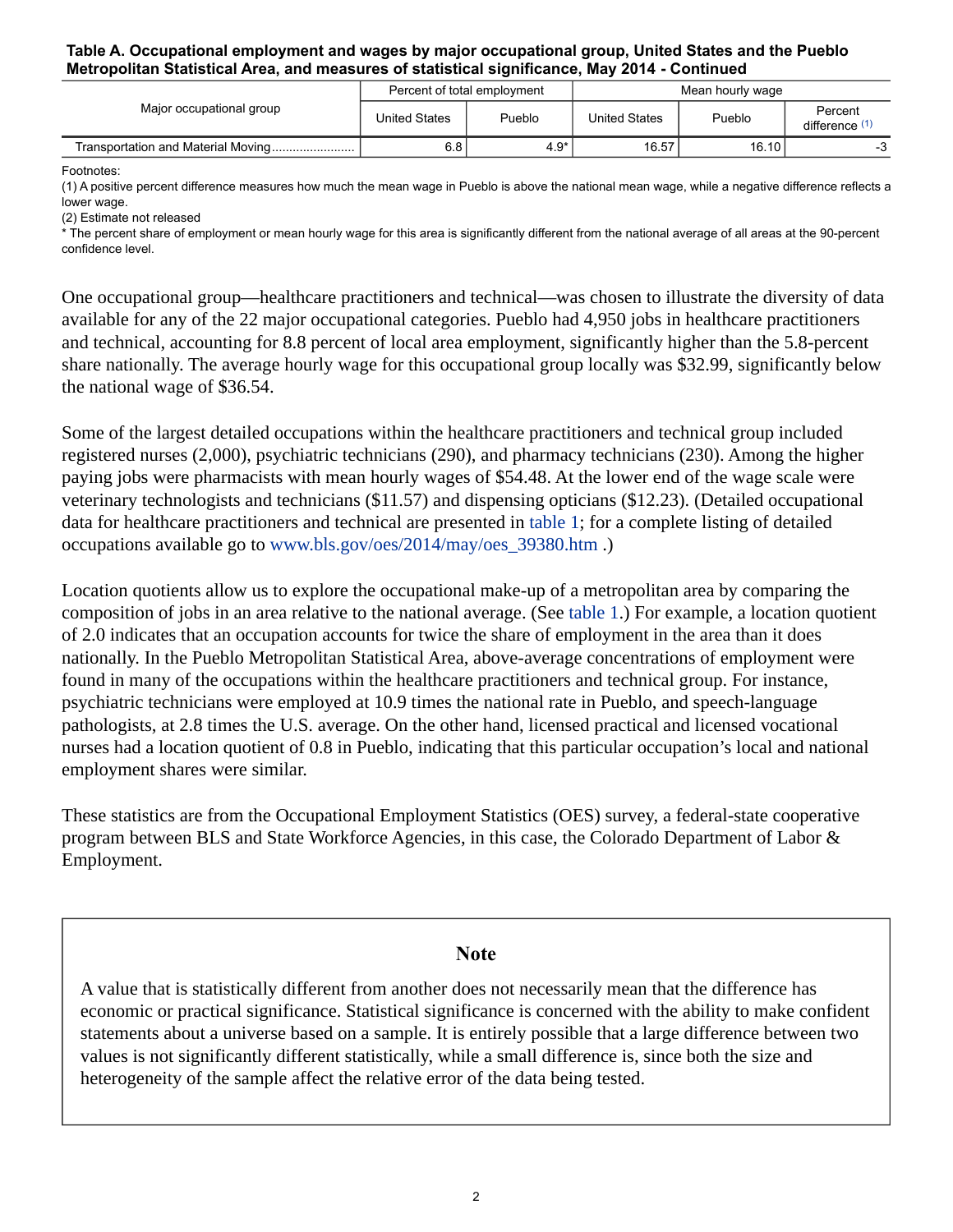#### **Table A. Occupational employment and wages by major occupational group, United States and the Pueblo Metropolitan Statistical Area, and measures of statistical significance, May 2014 - Continued**

| Major occupational group           | Percent of total employment |        | Mean hourly wage |        |                           |
|------------------------------------|-----------------------------|--------|------------------|--------|---------------------------|
|                                    | United States               | Pueblo | United States    | Pueblo | Percent<br>difference (1) |
| Transportation and Material Moving | 6.8                         | $4.9*$ | 16.57            | 16.10  | - 2                       |

Footnotes:

<span id="page-1-1"></span>(1) A positive percent difference measures how much the mean wage in Pueblo is above the national mean wage, while a negative difference reflects a lower wage.

<span id="page-1-2"></span>(2) Estimate not released

\* The percent share of employment or mean hourly wage for this area is significantly different from the national average of all areas at the 90-percent confidence level.

One occupational group—healthcare practitioners and technical—was chosen to illustrate the diversity of data available for any of the 22 major occupational categories. Pueblo had 4,950 jobs in healthcare practitioners and technical, accounting for 8.8 percent of local area employment, significantly higher than the 5.8-percent share nationally. The average hourly wage for this occupational group locally was \$32.99, significantly below the national wage of \$36.54.

Some of the largest detailed occupations within the healthcare practitioners and technical group included registered nurses (2,000), psychiatric technicians (290), and pharmacy technicians (230). Among the higher paying jobs were pharmacists with mean hourly wages of \$54.48. At the lower end of the wage scale were veterinary technologists and technicians (\$11.57) and dispensing opticians (\$12.23). (Detailed occupational data for healthcare practitioners and technical are presented in table 1; for a complete listing of detailed occupations available go to [www.bls.gov/oes/2014/may/oes\\_39380.htm](https://www.bls.gov/oes/2014/may/oes_39380.htm) .)

Location quotients allow us to explore the occupational make-up of a metropolitan area by comparing the composition of jobs in an area relative to the national average. (See table 1.) For example, a location quotient of 2.0 indicates that an occupation accounts for twice the share of employment in the area than it does nationally. In the Pueblo Metropolitan Statistical Area, above-average concentrations of employment were found in many of the occupations within the healthcare practitioners and technical group. For instance, psychiatric technicians were employed at 10.9 times the national rate in Pueblo, and speech-language pathologists, at 2.8 times the U.S. average. On the other hand, licensed practical and licensed vocational nurses had a location quotient of 0.8 in Pueblo, indicating that this particular occupation's local and national employment shares were similar.

These statistics are from the Occupational Employment Statistics (OES) survey, a federal-state cooperative program between BLS and State Workforce Agencies, in this case, the Colorado Department of Labor & Employment.

### **Note**

<span id="page-1-0"></span>A value that is statistically different from another does not necessarily mean that the difference has economic or practical significance. Statistical significance is concerned with the ability to make confident statements about a universe based on a sample. It is entirely possible that a large difference between two values is not significantly different statistically, while a small difference is, since both the size and heterogeneity of the sample affect the relative error of the data being tested.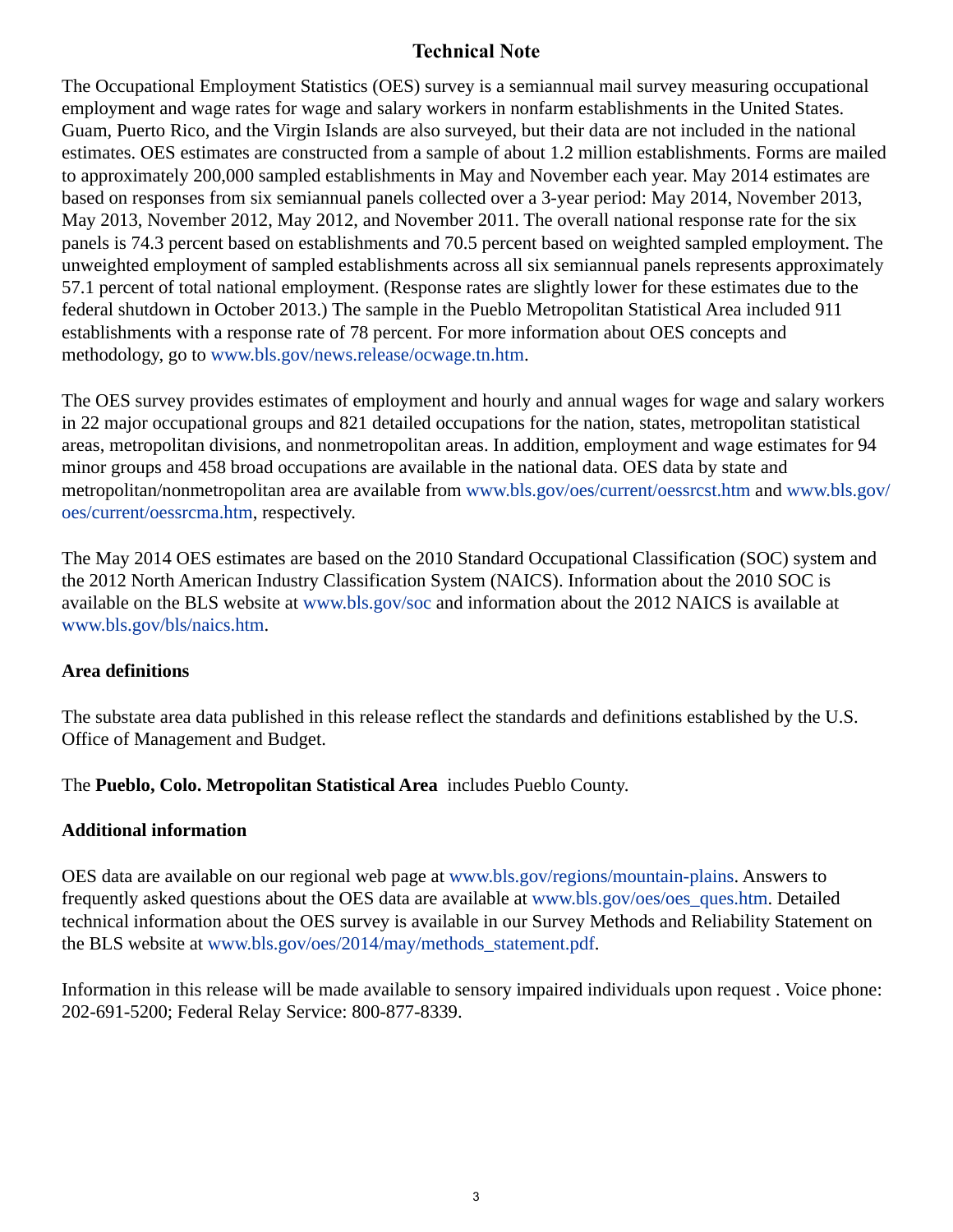# **Technical Note**

The Occupational Employment Statistics (OES) survey is a semiannual mail survey measuring occupational employment and wage rates for wage and salary workers in nonfarm establishments in the United States. Guam, Puerto Rico, and the Virgin Islands are also surveyed, but their data are not included in the national estimates. OES estimates are constructed from a sample of about 1.2 million establishments. Forms are mailed to approximately 200,000 sampled establishments in May and November each year. May 2014 estimates are based on responses from six semiannual panels collected over a 3-year period: May 2014, November 2013, May 2013, November 2012, May 2012, and November 2011. The overall national response rate for the six panels is 74.3 percent based on establishments and 70.5 percent based on weighted sampled employment. The unweighted employment of sampled establishments across all six semiannual panels represents approximately 57.1 percent of total national employment. (Response rates are slightly lower for these estimates due to the federal shutdown in October 2013.) The sample in the Pueblo Metropolitan Statistical Area included 911 establishments with a response rate of 78 percent. For more information about OES concepts and methodology, go to [www.bls.gov/news.release/ocwage.tn.htm.](https://www.bls.gov/news.release/ocwage.tn.htm)

The OES survey provides estimates of employment and hourly and annual wages for wage and salary workers in 22 major occupational groups and 821 detailed occupations for the nation, states, metropolitan statistical areas, metropolitan divisions, and nonmetropolitan areas. In addition, employment and wage estimates for 94 minor groups and 458 broad occupations are available in the national data. OES data by state and metropolitan/nonmetropolitan area are available from [www.bls.gov/oes/current/oessrcst.htm](https://www.bls.gov/oes/current/oessrcst.htm) and [www.bls.gov/](https://www.bls.gov/oes/current/oessrcma.htm) [oes/current/oessrcma.htm,](https://www.bls.gov/oes/current/oessrcma.htm) respectively.

The May 2014 OES estimates are based on the 2010 Standard Occupational Classification (SOC) system and the 2012 North American Industry Classification System (NAICS). Information about the 2010 SOC is available on the BLS website at [www.bls.gov/soc](https://www.bls.gov/soc) and information about the 2012 NAICS is available at [www.bls.gov/bls/naics.htm.](https://www.bls.gov/bls/naics.htm)

# **Area definitions**

The substate area data published in this release reflect the standards and definitions established by the U.S. Office of Management and Budget.

The **Pueblo, Colo. Metropolitan Statistical Area** includes Pueblo County.

# **Additional information**

OES data are available on our regional web page at [www.bls.gov/regions/mountain-plains.](https://www.bls.gov/regions/mountain-plains) Answers to frequently asked questions about the OES data are available at [www.bls.gov/oes/oes\\_ques.htm](https://www.bls.gov/oes/oes_ques.htm). Detailed technical information about the OES survey is available in our Survey Methods and Reliability Statement on the BLS website at [www.bls.gov/oes/2014/may/methods\\_statement.pdf](https://www.bls.gov/oes/2014/may/methods_statement.pdf).

Information in this release will be made available to sensory impaired individuals upon request . Voice phone: 202-691-5200; Federal Relay Service: 800-877-8339.